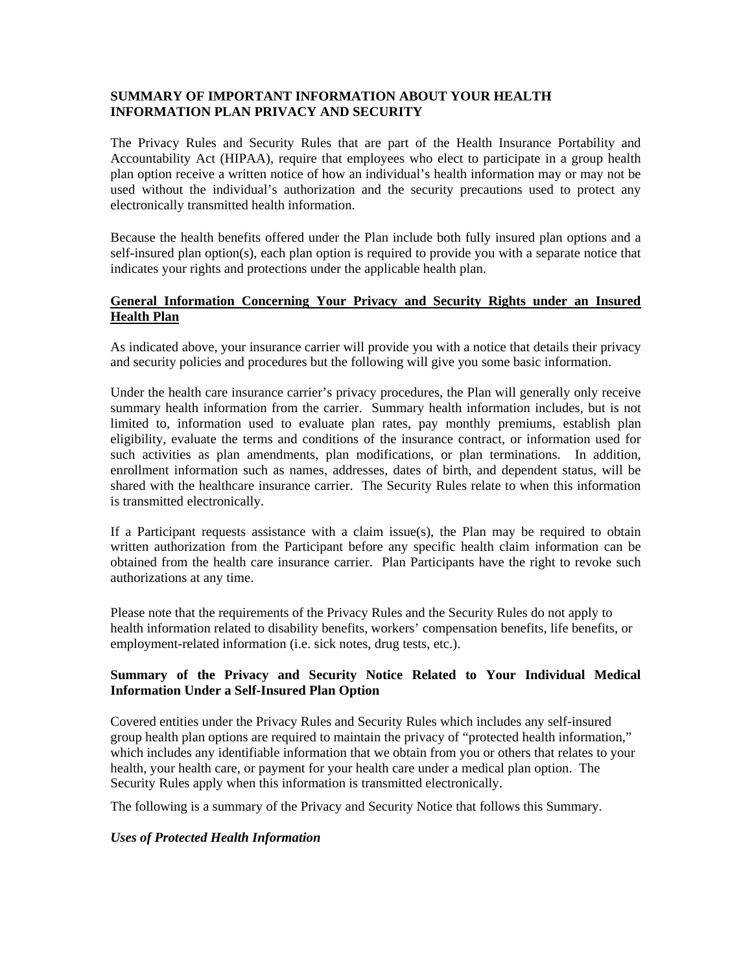## **SUMMARY OF IMPORTANT INFORMATION ABOUT YOUR HEALTH INFORMATION PLAN PRIVACY AND SECURITY**

The Privacy Rules and Security Rules that are part of the Health Insurance Portability and Accountability Act (HIPAA), require that employees who elect to participate in a group health plan option receive a written notice of how an individual's health information may or may not be used without the individual's authorization and the security precautions used to protect any electronically transmitted health information.

Because the health benefits offered under the Plan include both fully insured plan options and a self-insured plan option(s), each plan option is required to provide you with a separate notice that indicates your rights and protections under the applicable health plan.

## **General Information Concerning Your Privacy and Security Rights under an Insured Health Plan**

As indicated above, your insurance carrier will provide you with a notice that details their privacy and security policies and procedures but the following will give you some basic information.

Under the health care insurance carrier's privacy procedures, the Plan will generally only receive summary health information from the carrier. Summary health information includes, but is not limited to, information used to evaluate plan rates, pay monthly premiums, establish plan eligibility, evaluate the terms and conditions of the insurance contract, or information used for such activities as plan amendments, plan modifications, or plan terminations. In addition, enrollment information such as names, addresses, dates of birth, and dependent status, will be shared with the healthcare insurance carrier. The Security Rules relate to when this information is transmitted electronically.

If a Participant requests assistance with a claim issue(s), the Plan may be required to obtain written authorization from the Participant before any specific health claim information can be obtained from the health care insurance carrier. Plan Participants have the right to revoke such authorizations at any time.

Please note that the requirements of the Privacy Rules and the Security Rules do not apply to health information related to disability benefits, workers' compensation benefits, life benefits, or employment-related information (i.e. sick notes, drug tests, etc.).

# **Summary of the Privacy and Security Notice Related to Your Individual Medical Information Under a Self-Insured Plan Option**

Covered entities under the Privacy Rules and Security Rules which includes any self-insured group health plan options are required to maintain the privacy of "protected health information," which includes any identifiable information that we obtain from you or others that relates to your health, your health care, or payment for your health care under a medical plan option. The Security Rules apply when this information is transmitted electronically.

The following is a summary of the Privacy and Security Notice that follows this Summary.

### *Uses of Protected Health Information*